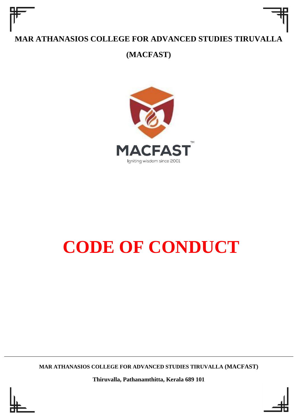# **MAR ATHANASIOS COLLEGE FOR ADVANCED STUDIES TIRUVALLA**

**(MACFAST)**



# **CODE OF CONDUCT**

**MAR ATHANASIOS COLLEGE FOR ADVANCED STUDIES TIRUVALLA (MACFAST)**

**Thiruvalla, Pathanamthitta, Kerala 689 101**



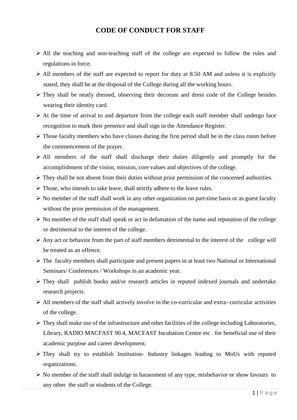### **CODE OF CONDUCT FOR STAFF**

- ➢ All the teaching and non-teaching staff of the college are expected to follow the rules and regulations in force.
- $\triangleright$  All members of the staff are expected to report for duty at 8.50 AM and unless it is explicitly stated, they shall be at the disposal of the College during all the working hours.
- ➢ They shall be neatly dressed, observing their decorum and dress code of the College besides wearing their identity card.
- ➢ At the time of arrival to and departure from the college each staff member shall undergo face recognition to mark their presence and shall sign in the Attendance Register.
- ➢ Those faculty members who have classes during the first period shall be in the class room before the commencement of the prayer.
- ➢ All members of the staff shall discharge their duties diligently and promptly for the accomplishment of the vision, mission, core values and objectives of the college.
- ➢ They shall be not absent from their duties without prior permission of the concerned authorities.
- ➢ Those, who intends to take leave, shall strictly adhere to the leave rules.
- $\triangleright$  No member of the staff shall work in any other organization on part-time basis or as guest faculty without the prior permission of the management.
- ➢ No member of the staff shall speak or act in defamation of the name and reputation of the college or detrimental to the interest of the college.
- ➢ Any act or behavior from the part of staff members detrimental to the interest of the college will be treated as an offence.
- ➢ The faculty members shall participate and present papers in at least two National or International Seminars/ Conferences / Workshops in an academic year.
- ➢ They shall publish books and/or research articles in reputed indexed journals and undertake research projects.
- $\triangleright$  All members of the staff shall actively involve in the co-curricular and extra- curricular activities of the college.
- ➢ They shall make use of the infrastructure and other facilities of the college including Laboratories, Library, RADIO MACFAST 90.4, MACFAST Incubation Centre etc . for beneficial use of their academic purpose and career development.
- ➢ They shall try to establish Institution- Industry linkages leading to MoUs with reputed organizations.
- ➢ No member of the staff shall indulge in harassment of any type, misbehavior or show favours to any other the staff or students of the College.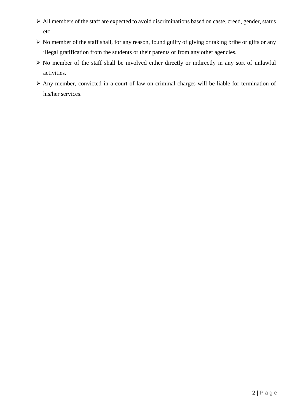- ➢ All members of the staff are expected to avoid discriminations based on caste, creed, gender, status etc.
- ➢ No member of the staff shall, for any reason, found guilty of giving or taking bribe or gifts or any illegal gratification from the students or their parents or from any other agencies.
- ➢ No member of the staff shall be involved either directly or indirectly in any sort of unlawful activities.
- ➢ Any member, convicted in a court of law on criminal charges will be liable for termination of his/her services.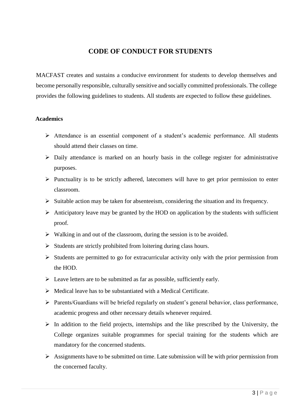## **CODE OF CONDUCT FOR STUDENTS**

MACFAST creates and sustains a conducive environment for students to develop themselves and become personally responsible, culturally sensitive and socially committed professionals. The college provides the following guidelines to students. All students are expected to follow these guidelines.

#### **Academics**

- ➢ Attendance is an essential component of a student's academic performance. All students should attend their classes on time.
- ➢ Daily attendance is marked on an hourly basis in the college register for administrative purposes.
- ➢ Punctuality is to be strictly adhered, latecomers will have to get prior permission to enter classroom.
- ➢ Suitable action may be taken for absenteeism, considering the situation and its frequency.
- $\triangleright$  Anticipatory leave may be granted by the HOD on application by the students with sufficient proof.
- ➢ Walking in and out of the classroom, during the session is to be avoided.
- ➢ Students are strictly prohibited from loitering during class hours.
- ➢ Students are permitted to go for extracurricular activity only with the prior permission from the HOD.
- $\triangleright$  Leave letters are to be submitted as far as possible, sufficiently early.
- $\triangleright$  Medical leave has to be substantiated with a Medical Certificate.
- ➢ Parents/Guardians will be briefed regularly on student's general behavior, class performance, academic progress and other necessary details whenever required.
- $\triangleright$  In addition to the field projects, internships and the like prescribed by the University, the College organizes suitable programmes for special training for the students which are mandatory for the concerned students.
- $\triangleright$  Assignments have to be submitted on time. Late submission will be with prior permission from the concerned faculty.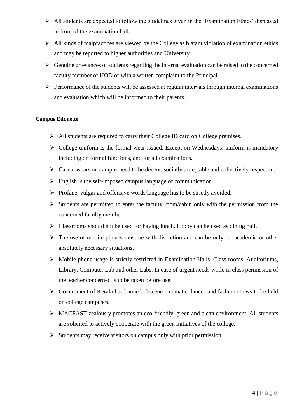- ➢ All students are expected to follow the guidelines given in the 'Examination Ethics' displayed in front of the examination hall.
- $\triangleright$  All kinds of malpractices are viewed by the College as blatant violation of examination ethics and may be reported to higher authorities and University.
- $\triangleright$  Genuine grievances of students regarding the internal evaluation can be raised to the concerned faculty member or HOD or with a written complaint to the Principal.
- $\triangleright$  Performance of the students will be assessed at regular intervals through internal examinations and evaluation which will be informed to their parents.

#### **Campus Etiquette**

- ➢ All students are required to carry their College ID card on College premises.
- $\triangleright$  College uniform is the formal wear issued. Except on Wednesdays, uniform is mandatory including on formal functions, and for all examinations.
- ➢ Casual wears on campus need to be decent, socially acceptable and collectively respectful.
- ➢ English is the self-imposed campus language of communication.
- ➢ Profane, vulgar and offensive words/language has to be strictly avoided.
- $\triangleright$  Students are permitted to enter the faculty room/cabin only with the permission from the concerned faculty member.
- $\triangleright$  Classrooms should not be used for having lunch. Lobby can be used as dining hall.
- ➢ The use of mobile phones must be with discretion and can be only for academic or other absolutely necessary situations.
- ➢ Mobile phone usage is strictly restricted in Examination Halls, Class rooms, Auditoriums, Library, Computer Lab and other Labs. In case of urgent needs while in class permission of the teacher concerned is to be taken before use.
- ➢ Government of Kerala has banned obscene cinematic dances and fashion shows to be held on college campuses.
- ➢ MACFAST zealously promotes an eco-friendly, green and clean environment. All students are solicited to actively cooperate with the green initiatives of the college.
- ➢ Students may receive visitors on campus only with prior permission.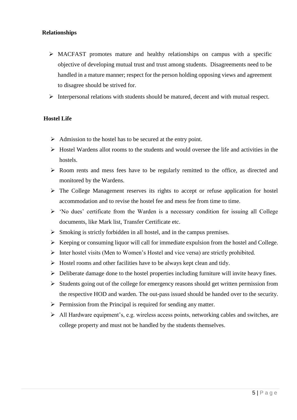#### **Relationships**

- ➢ MACFAST promotes mature and healthy relationships on campus with a specific objective of developing mutual trust and trust among students. Disagreements need to be handled in a mature manner; respect for the person holding opposing views and agreement to disagree should be strived for.
- ➢ Interpersonal relations with students should be matured, decent and with mutual respect.

#### **Hostel Life**

- ➢ Admission to the hostel has to be secured at the entry point.
- ➢ Hostel Wardens allot rooms to the students and would oversee the life and activities in the hostels.
- ➢ Room rents and mess fees have to be regularly remitted to the office, as directed and monitored by the Wardens.
- ➢ The College Management reserves its rights to accept or refuse application for hostel accommodation and to revise the hostel fee and mess fee from time to time.
- $\triangleright$  'No dues' certificate from the Warden is a necessary condition for issuing all College documents, like Mark list, Transfer Certificate etc.
- $\triangleright$  Smoking is strictly forbidden in all hostel, and in the campus premises.
- ➢ Keeping or consuming liquor will call for immediate expulsion from the hostel and College.
- ➢ Inter hostel visits (Men to Women's Hostel and vice versa) are strictly prohibited.
- $\triangleright$  Hostel rooms and other facilities have to be always kept clean and tidy.
- ➢ Deliberate damage done to the hostel properties including furniture will invite heavy fines.
- ➢ Students going out of the college for emergency reasons should get written permission from the respective HOD and warden. The out-pass issued should be handed over to the security.
- ➢ Permission from the Principal is required for sending any matter.
- ➢ All Hardware equipment's, e.g. wireless access points, networking cables and switches, are college property and must not be handled by the students themselves.